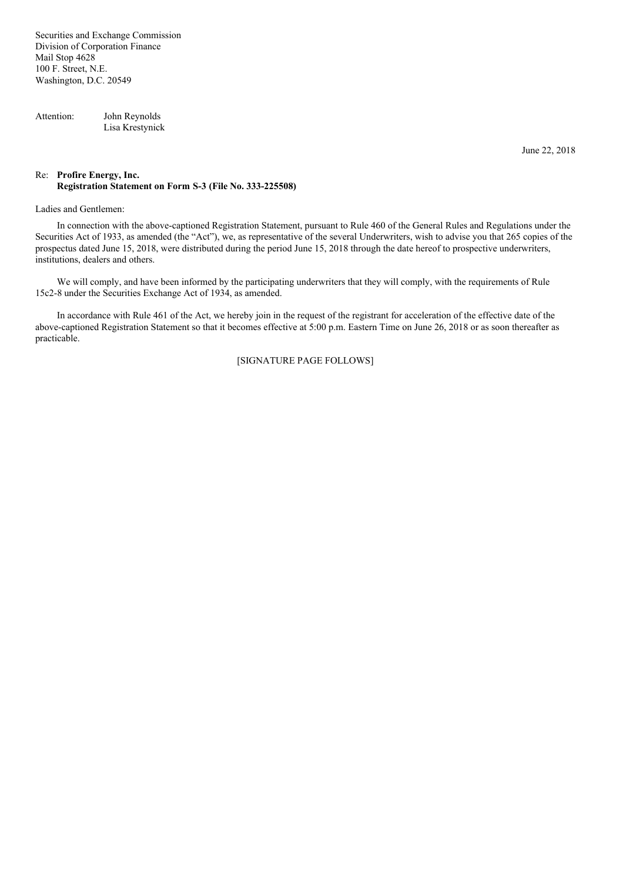Securities and Exchange Commission Division of Corporation Finance Mail Stop 4628 100 F. Street, N.E. Washington, D.C. 20549

Attention: John Reynolds Lisa Krestynick

June 22, 2018

## Re: **Profire Energy, Inc. Registration Statement on Form S-3 (File No. 333-225508)**

## Ladies and Gentlemen:

In connection with the above-captioned Registration Statement, pursuant to Rule 460 of the General Rules and Regulations under the Securities Act of 1933, as amended (the "Act"), we, as representative of the several Underwriters, wish to advise you that 265 copies of the prospectus dated June 15, 2018, were distributed during the period June 15, 2018 through the date hereof to prospective underwriters, institutions, dealers and others.

We will comply, and have been informed by the participating underwriters that they will comply, with the requirements of Rule 15c2-8 under the Securities Exchange Act of 1934, as amended.

In accordance with Rule 461 of the Act, we hereby join in the request of the registrant for acceleration of the effective date of the above-captioned Registration Statement so that it becomes effective at 5:00 p.m. Eastern Time on June 26, 2018 or as soon thereafter as practicable.

[SIGNATURE PAGE FOLLOWS]